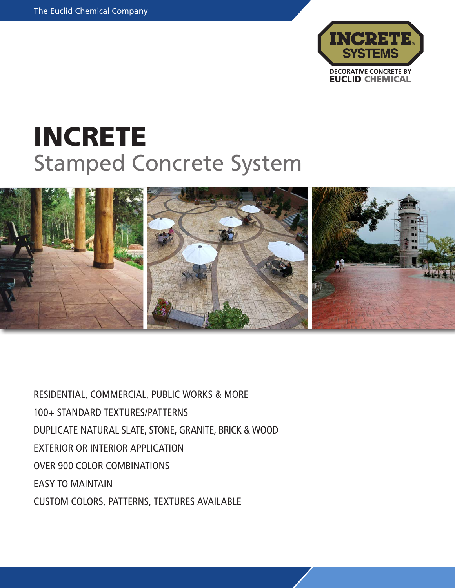

## INCRETE Stamped Concrete System



RESIDENTIAL, COMMERCIAL, PUBLIC WORKS & MORE 100+ STANDARD TEXTURES/PATTERNS DUPLICATE NATURAL SLATE, STONE, GRANITE, BRICK & WOOD EXTERIOR OR INTERIOR APPLICATION OVER 900 COLOR COMBINATIONS EASY TO MAINTAIN CUSTOM COLORS, PATTERNS, TEXTURES AVAILABLE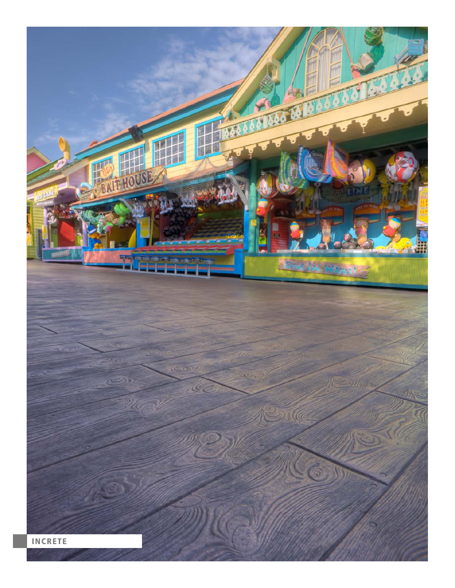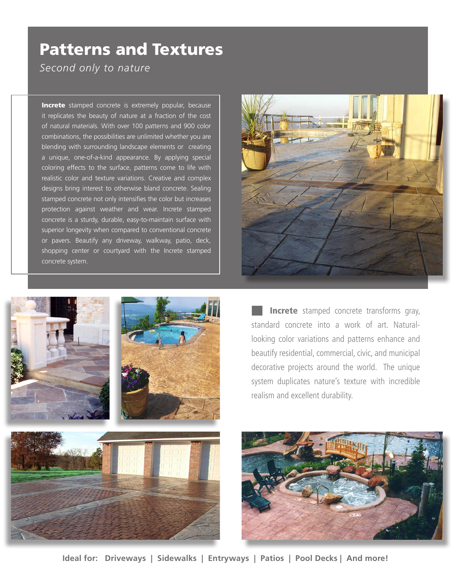## Patterns and Textures

*Second only to nature*

**Increte** stamped concrete is extremely popular, because it replicates the beauty of nature at a fraction of the cost of natural materials. With over 100 patterns and 900 color combinations, the possibilities are unlimited whether you are blending with surrounding landscape elements or creating a unique, one-of-a-kind appearance. By applying special coloring effects to the surface, patterns come to life with realistic color and texture variations. Creative and complex designs bring interest to otherwise bland concrete. Sealing stamped concrete not only intensifies the color but increases protection against weather and wear. Increte stamped concrete is a sturdy, durable, easy-to-maintain surface with superior longevity when compared to conventional concrete or pavers. Beautify any driveway, walkway, patio, deck, shopping center or courtyard with the Increte stamped concrete system.





**Increte** stamped concrete transforms gray, standard concrete into a work of art. Naturallooking color variations and patterns enhance and beautify residential, commercial, civic, and municipal decorative projects around the world. The unique system duplicates nature's texture with incredible realism and excellent durability.